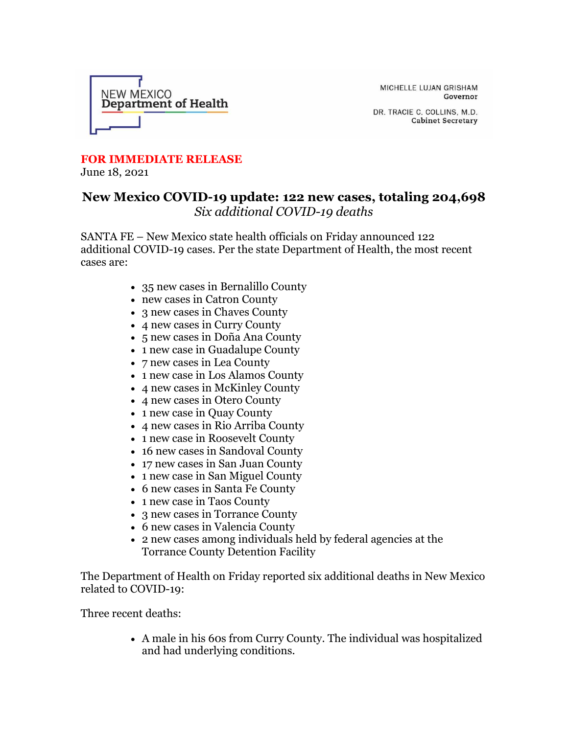

MICHELLE LUJAN GRISHAM Governor

DR. TRACIE C. COLLINS, M.D. **Cabinet Secretary** 

## **FOR IMMEDIATE RELEASE**

June 18, 2021

## **New Mexico COVID-19 update: 122 new cases, totaling 204,698** *Six additional COVID-19 deaths*

SANTA FE – New Mexico state health officials on Friday announced 122 additional COVID-19 cases. Per the state Department of Health, the most recent cases are:

- 35 new cases in Bernalillo County
- new cases in Catron County
- 3 new cases in Chaves County
- 4 new cases in Curry County
- 5 new cases in Doña Ana County
- 1 new case in Guadalupe County
- 7 new cases in Lea County
- 1 new case in Los Alamos County
- 4 new cases in McKinley County
- 4 new cases in Otero County
- 1 new case in Quay County
- 4 new cases in Rio Arriba County
- 1 new case in Roosevelt County
- 16 new cases in Sandoval County
- 17 new cases in San Juan County
- 1 new case in San Miguel County
- 6 new cases in Santa Fe County
- 1 new case in Taos County
- 3 new cases in Torrance County
- 6 new cases in Valencia County
- 2 new cases among individuals held by federal agencies at the Torrance County Detention Facility

The Department of Health on Friday reported six additional deaths in New Mexico related to COVID-19:

Three recent deaths:

• A male in his 60s from Curry County. The individual was hospitalized and had underlying conditions.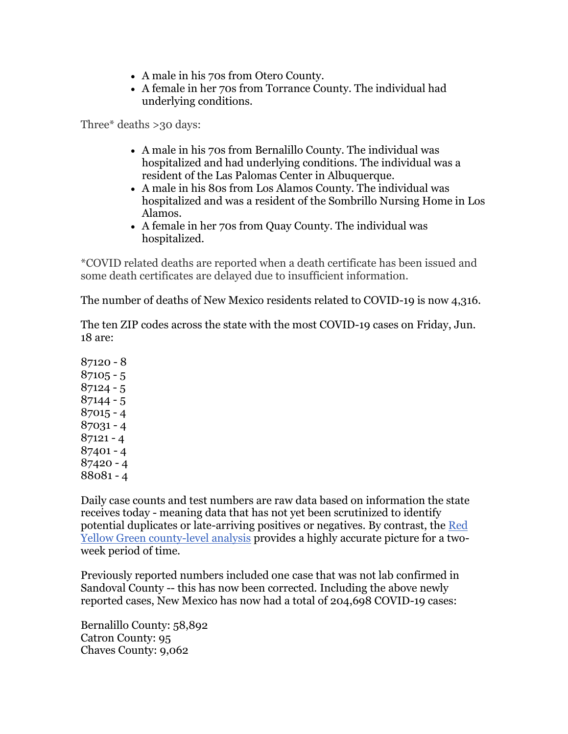- A male in his 70s from Otero County.
- A female in her 70s from Torrance County. The individual had underlying conditions.

Three\* deaths >30 days:

- A male in his 70s from Bernalillo County. The individual was hospitalized and had underlying conditions. The individual was a resident of the Las Palomas Center in Albuquerque.
- A male in his 80s from Los Alamos County. The individual was hospitalized and was a resident of the Sombrillo Nursing Home in Los Alamos.
- A female in her 70s from Quay County. The individual was hospitalized.

\*COVID related deaths are reported when a death certificate has been issued and some death certificates are delayed due to insufficient information.

The number of deaths of New Mexico residents related to COVID-19 is now 4,316.

The ten ZIP codes across the state with the most COVID-19 cases on Friday, Jun. 18 are:

Daily case counts and test numbers are raw data based on information the state receives today - meaning data that has not yet been scrutinized to identify potential duplicates or late-arriving positives or negatives. By contrast, the [Red](https://r20.rs6.net/tn.jsp?f=001T26R8KjCKecpBshPgwweUGn_vSPlQXRLT6c9mH1toZ9BMhxWt3rWvWDIfDG_wx9pJjB9zWT4s8GUG72cm-OJHkX519gF6PIGs4gEjNwrXYuF01h9fnJI0q7zo4vZzYJXC7dMMeMkRs848XB6EmUVvpv6L1Izts6kzEDn0Pl_P5e7bz9LImh-Lnm5yWaofwgTbGMc2R1l4jeAsZTXRZxxiCt7WvfOl8SC&c=vhgVjDuL0nB0WdNSS-YYbVkt1WfOW0sTfg3-rRP9YgiVgOuUqhBngg==&ch=J04RHjWLbF2pa8XXCB4mkAbX3wOfap4MYRBQKSMQ0Anq_lDoSXnZcA==)  [Yellow Green county-level analysis](https://r20.rs6.net/tn.jsp?f=001T26R8KjCKecpBshPgwweUGn_vSPlQXRLT6c9mH1toZ9BMhxWt3rWvWDIfDG_wx9pJjB9zWT4s8GUG72cm-OJHkX519gF6PIGs4gEjNwrXYuF01h9fnJI0q7zo4vZzYJXC7dMMeMkRs848XB6EmUVvpv6L1Izts6kzEDn0Pl_P5e7bz9LImh-Lnm5yWaofwgTbGMc2R1l4jeAsZTXRZxxiCt7WvfOl8SC&c=vhgVjDuL0nB0WdNSS-YYbVkt1WfOW0sTfg3-rRP9YgiVgOuUqhBngg==&ch=J04RHjWLbF2pa8XXCB4mkAbX3wOfap4MYRBQKSMQ0Anq_lDoSXnZcA==) provides a highly accurate picture for a twoweek period of time.

Previously reported numbers included one case that was not lab confirmed in Sandoval County -- this has now been corrected. Including the above newly reported cases, New Mexico has now had a total of 204,698 COVID-19 cases:

Bernalillo County: 58,892 Catron County: 95 Chaves County: 9,062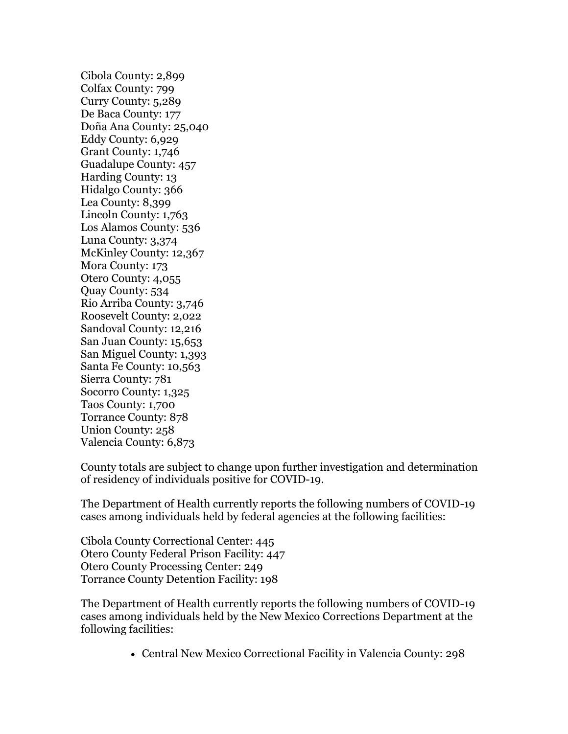Cibola County: 2,899 Colfax County: 799 Curry County: 5,289 De Baca County: 177 Doña Ana County: 25,040 Eddy County: 6,929 Grant County: 1,746 Guadalupe County: 457 Harding County: 13 Hidalgo County: 366 Lea County: 8,399 Lincoln County: 1,763 Los Alamos County: 536 Luna County: 3,374 McKinley County: 12,367 Mora County: 173 Otero County: 4,055 Quay County: 534 Rio Arriba County: 3,746 Roosevelt County: 2,022 Sandoval County: 12,216 San Juan County: 15,653 San Miguel County: 1,393 Santa Fe County: 10,563 Sierra County: 781 Socorro County: 1,325 Taos County: 1,700 Torrance County: 878 Union County: 258 Valencia County: 6,873

County totals are subject to change upon further investigation and determination of residency of individuals positive for COVID-19.

The Department of Health currently reports the following numbers of COVID-19 cases among individuals held by federal agencies at the following facilities:

Cibola County Correctional Center: 445 Otero County Federal Prison Facility: 447 Otero County Processing Center: 249 Torrance County Detention Facility: 198

The Department of Health currently reports the following numbers of COVID-19 cases among individuals held by the New Mexico Corrections Department at the following facilities:

• Central New Mexico Correctional Facility in Valencia County: 298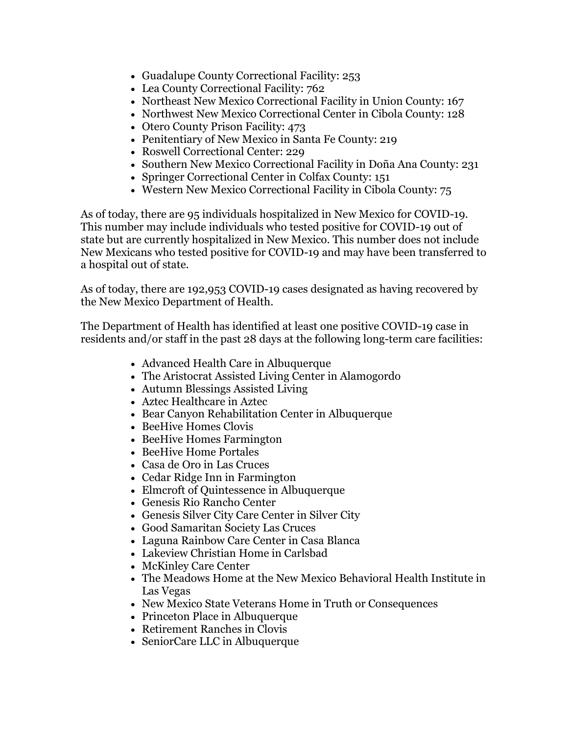- Guadalupe County Correctional Facility: 253
- Lea County Correctional Facility: 762
- Northeast New Mexico Correctional Facility in Union County: 167
- Northwest New Mexico Correctional Center in Cibola County: 128
- Otero County Prison Facility: 473
- Penitentiary of New Mexico in Santa Fe County: 219
- Roswell Correctional Center: 229
- Southern New Mexico Correctional Facility in Doña Ana County: 231
- Springer Correctional Center in Colfax County: 151
- Western New Mexico Correctional Facility in Cibola County: 75

As of today, there are 95 individuals hospitalized in New Mexico for COVID-19. This number may include individuals who tested positive for COVID-19 out of state but are currently hospitalized in New Mexico. This number does not include New Mexicans who tested positive for COVID-19 and may have been transferred to a hospital out of state.

As of today, there are 192,953 COVID-19 cases designated as having recovered by the New Mexico Department of Health.

The Department of Health has identified at least one positive COVID-19 case in residents and/or staff in the past 28 days at the following long-term care facilities:

- Advanced Health Care in Albuquerque
- The Aristocrat Assisted Living Center in Alamogordo
- Autumn Blessings Assisted Living
- Aztec Healthcare in Aztec
- Bear Canyon Rehabilitation Center in Albuquerque
- BeeHive Homes Clovis
- BeeHive Homes Farmington
- BeeHive Home Portales
- Casa de Oro in Las Cruces
- Cedar Ridge Inn in Farmington
- Elmcroft of Quintessence in Albuquerque
- Genesis Rio Rancho Center
- Genesis Silver City Care Center in Silver City
- Good Samaritan Society Las Cruces
- Laguna Rainbow Care Center in Casa Blanca
- Lakeview Christian Home in Carlsbad
- McKinley Care Center
- The Meadows Home at the New Mexico Behavioral Health Institute in Las Vegas
- New Mexico State Veterans Home in Truth or Consequences
- Princeton Place in Albuquerque
- Retirement Ranches in Clovis
- SeniorCare LLC in Albuquerque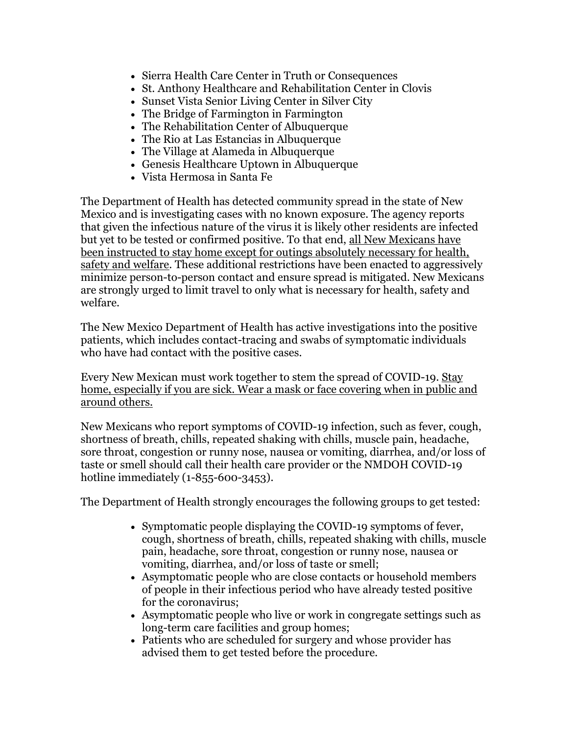- Sierra Health Care Center in Truth or Consequences
- St. Anthony Healthcare and Rehabilitation Center in Clovis
- Sunset Vista Senior Living Center in Silver City
- The Bridge of Farmington in Farmington
- The Rehabilitation Center of Albuquerque
- The Rio at Las Estancias in Albuquerque
- The Village at Alameda in Albuquerque
- Genesis Healthcare Uptown in Albuquerque
- Vista Hermosa in Santa Fe

The Department of Health has detected community spread in the state of New Mexico and is investigating cases with no known exposure. The agency reports that given the infectious nature of the virus it is likely other residents are infected but yet to be tested or confirmed positive. To that end, all New Mexicans have been instructed to stay home except for outings absolutely necessary for health, safety and welfare. These additional restrictions have been enacted to aggressively minimize person-to-person contact and ensure spread is mitigated. New Mexicans are strongly urged to limit travel to only what is necessary for health, safety and welfare.

The New Mexico Department of Health has active investigations into the positive patients, which includes contact-tracing and swabs of symptomatic individuals who have had contact with the positive cases.

Every New Mexican must work together to stem the spread of COVID-19. Stay home, especially if you are sick. Wear a mask or face covering when in public and around others.

New Mexicans who report symptoms of COVID-19 infection, such as fever, cough, shortness of breath, chills, repeated shaking with chills, muscle pain, headache, sore throat, congestion or runny nose, nausea or vomiting, diarrhea, and/or loss of taste or smell should call their health care provider or the NMDOH COVID-19 hotline immediately (1-855-600-3453).

The Department of Health strongly encourages the following groups to get tested:

- Symptomatic people displaying the COVID-19 symptoms of fever, cough, shortness of breath, chills, repeated shaking with chills, muscle pain, headache, sore throat, congestion or runny nose, nausea or vomiting, diarrhea, and/or loss of taste or smell;
- Asymptomatic people who are close contacts or household members of people in their infectious period who have already tested positive for the coronavirus;
- Asymptomatic people who live or work in congregate settings such as long-term care facilities and group homes;
- Patients who are scheduled for surgery and whose provider has advised them to get tested before the procedure.